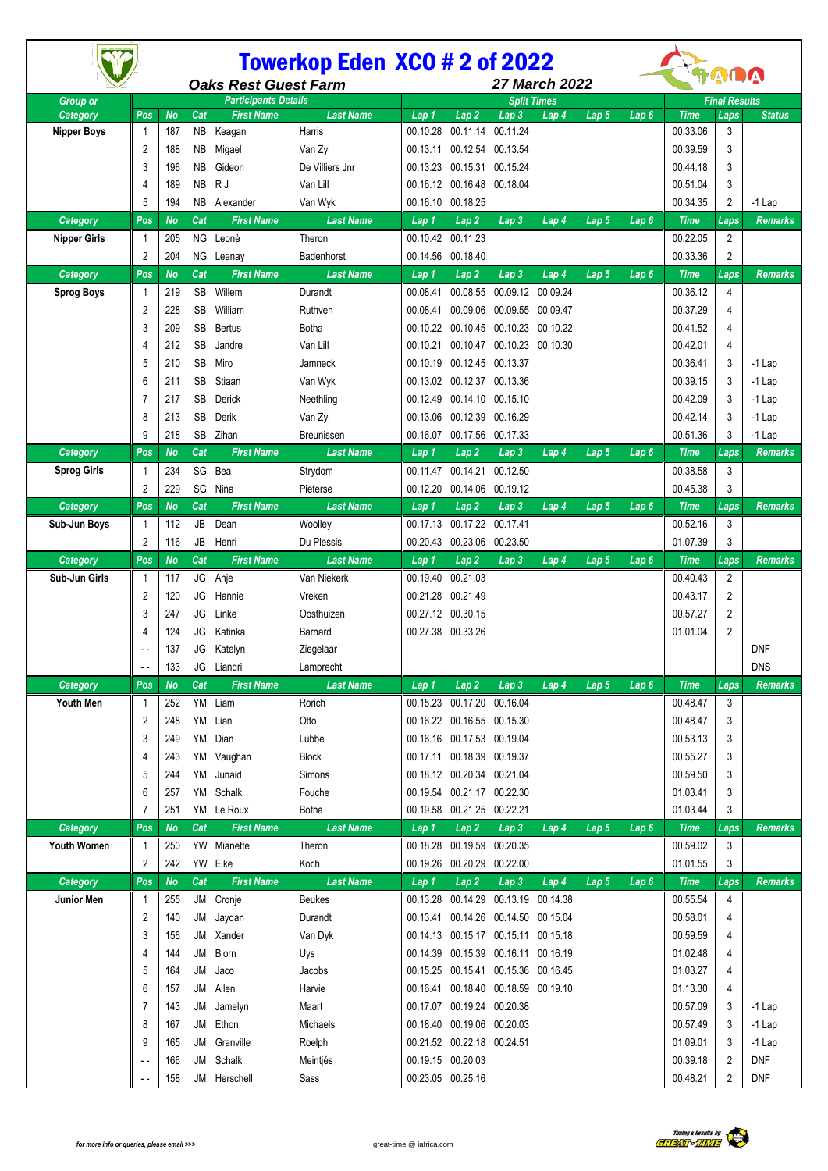|                             |                                                            | <b>Towerkop Eden XCO # 2 of 2022</b> |           |                   |                          |                      |                                                                            |                   | RADA                        |         |                  |                      |                              |                      |
|-----------------------------|------------------------------------------------------------|--------------------------------------|-----------|-------------------|--------------------------|----------------------|----------------------------------------------------------------------------|-------------------|-----------------------------|---------|------------------|----------------------|------------------------------|----------------------|
|                             | <b>Oaks Rest Guest Farm</b><br><b>Participants Details</b> |                                      |           |                   |                          | <b>27 March 2022</b> |                                                                            |                   |                             |         |                  |                      |                              |                      |
| <b>Group or</b><br>Category | Pos                                                        | <b>No</b>                            | Cat       | <b>First Name</b> | <b>Last Name</b>         | Lap 1                | Lap <sub>2</sub>                                                           | Lap 3             | <b>Split Times</b><br>Lap 4 | Lap 5   | Lap 6            | <b>Time</b>          | <b>Final Results</b><br>Laps | <b>Status</b>        |
| <b>Nipper Boys</b>          | -1                                                         | 187                                  | NB.       | Keagan            | Harris                   | 00.10.28             |                                                                            | 00.11.14 00.11.24 |                             |         |                  | 00.33.06             | 3                            |                      |
|                             | $\overline{2}$                                             | 188                                  | NB        | Migael            | Van Zyl                  |                      | 00.13.11 00.12.54 00.13.54                                                 |                   |                             |         |                  | 00.39.59             | 3                            |                      |
|                             | 3                                                          | 196                                  | <b>NB</b> | Gideon            | De Villiers Jnr          |                      | 00.13.23 00.15.31 00.15.24                                                 |                   |                             |         |                  | 00.44.18             | 3                            |                      |
|                             | 4                                                          | 189                                  | <b>NB</b> | R J               | Van Lill                 |                      | 00.16.12 00.16.48 00.18.04                                                 |                   |                             |         |                  | 00.51.04             | 3                            |                      |
|                             | 5                                                          | 194                                  | NB.       | Alexander         | Van Wyk                  |                      | 00.16.10 00.18.25                                                          |                   |                             |         |                  | 00.34.35             | 2                            | $-1$ Lap             |
| Category                    | Pos                                                        | <b>No</b>                            | Cat       | <b>First Name</b> | <b>Last Name</b>         | Lap 1                | $\overline{Lap}2$                                                          | Lap <sub>3</sub>  | Lap 4                       | Lap 5   | Lap 6            | <b>Time</b>          | Laps                         | <b>Remarks</b>       |
| <b>Nipper Girls</b>         |                                                            | 205                                  | ΝG        | Leonè             | Theron                   | 00.10.42             | 00.11.23                                                                   |                   |                             |         |                  | 00.22.05             | 2                            |                      |
|                             | 2                                                          | 204                                  |           | NG Leanay         | Badenhorst               |                      | 00.14.56 00.18.40                                                          |                   |                             |         |                  | 00.33.36             | $\overline{c}$               |                      |
| <b>Category</b>             | Pos                                                        | <b>No</b>                            | Cat       | <b>First Name</b> | <b>Last Name</b>         | Lap 1                | Lap 2                                                                      | Lap 3             | Lap 4                       | Lap 5   | Lap 6            | <b>Time</b>          | Laps                         | <b>Remarks</b>       |
| <b>Sprog Boys</b>           | -1                                                         | 219                                  | <b>SB</b> | Willem            | Durandt                  | 00.08.41             |                                                                            | 00.08.55 00.09.12 | 00.09.24                    |         |                  | 00.36.12             | 4                            |                      |
|                             | $\overline{2}$                                             | 228                                  | <b>SB</b> | William           | Ruthven                  | 00.08.41             |                                                                            | 00.09.06 00.09.55 | 00.09.47                    |         |                  | 00.37.29             | 4                            |                      |
|                             | 3                                                          | 209                                  | SB        | <b>Bertus</b>     | <b>Botha</b>             | 00.10.22             |                                                                            | 00.10.45 00.10.23 | 00.10.22                    |         |                  | 00.41.52             | 4                            |                      |
|                             | 4                                                          | 212                                  | SB        | Jandre            | Van Lill                 | 00.10.21             |                                                                            | 00.10.47 00.10.23 | 00.10.30                    |         |                  | 00.42.01             | 4                            |                      |
|                             | 5                                                          | 210                                  | <b>SB</b> | Miro              | Jamneck                  | 00.10.19             | 00.12.45 00.13.37                                                          |                   |                             |         |                  | 00.36.41             | 3                            | -1 Lap               |
|                             |                                                            | 211                                  | <b>SB</b> | Stiaan            | Van Wyk                  |                      | 00.13.02 00.12.37 00.13.36                                                 |                   |                             |         |                  | 00.39.15             | 3                            | $-1$ Lap             |
|                             |                                                            | 217                                  | SB        | Derick            | Neethling                |                      | 00.12.49 00.14.10 00.15.10                                                 |                   |                             |         |                  | 00.42.09             | 3                            | -1 Lap               |
|                             | 8                                                          | 213                                  | <b>SB</b> | Derik             | Van Zyl                  |                      | 00.13.06 00.12.39 00.16.29                                                 |                   |                             |         |                  | 00.42.14             | 3                            | -1 Lap               |
|                             | 9                                                          | 218                                  | <b>SB</b> | Zihan             | Breunissen               |                      | 00.16.07 00.17.56 00.17.33                                                 |                   |                             |         |                  | 00.51.36             | 3                            | $-1$ Lap             |
| Category                    | Pos                                                        | <b>No</b>                            | Cat       | <b>First Name</b> | <b>Last Name</b>         | Lap 1                | Lap2                                                                       | Lap 3             | Lap 4                       | Lap 5   | Lap 6            | <b>Time</b>          | Laps                         | <b>Remarks</b>       |
| <b>Sprog Girls</b>          |                                                            | 234                                  | SG        | Bea               | Strydom                  | 00.11.47             | 00.14.21                                                                   | 00.12.50          |                             |         |                  | 00.38.58             | 3                            |                      |
|                             | 2                                                          | 229                                  | SG        | Nina              | Pieterse                 |                      | 00.12.20 00.14.06 00.19.12                                                 |                   |                             |         |                  | 00.45.38             | 3                            |                      |
| Category                    | Pos                                                        | <b>No</b>                            | Cat       | <b>First Name</b> | <b>Last Name</b>         | Lap 1                | $\overline{Lap}2$                                                          | Lap 3             | Lap 4                       | Lap 5   | Lap6             | <b>Time</b>          | Laps                         | Remarks              |
| Sub-Jun Boys                |                                                            | 112                                  | JB        | Dean              | Woolley                  |                      | 00.17.13 00.17.22 00.17.41                                                 |                   |                             |         |                  | 00.52.16             | 3                            |                      |
|                             | 2                                                          | 116                                  | JB        | Henri             | Du Plessis               |                      | 00.20.43 00.23.06 00.23.50                                                 |                   |                             |         |                  | 01.07.39             | 3                            |                      |
| Category                    | Pos                                                        | <b>No</b>                            | Cat       | <b>First Name</b> | <b>Last Name</b>         | Lap 1                | Lap2                                                                       | Lap 3             | Lap 4                       | Lap 5   | Lap6             | <b>Time</b>          | Laps                         | <b>Remarks</b>       |
| Sub-Jun Girls               | 1                                                          | 117                                  | JG        | Anje              | Van Niekerk              | 00.19.40             | 00.21.03                                                                   |                   |                             |         |                  | 00.40.43             | $\overline{2}$               |                      |
|                             | $\overline{2}$                                             | 120                                  | JG        | Hannie            | Vreken                   |                      | 00.21.28 00.21.49                                                          |                   |                             |         |                  | 00.43.17             | 2                            |                      |
|                             | 3                                                          | 247                                  | JG        | Linke             | Oosthuizen               |                      | 00.27.12 00.30.15                                                          |                   |                             |         |                  | 00.57.27             | $\overline{2}$               |                      |
|                             |                                                            | 124                                  | JG        | Katinka           | Barnard                  |                      | 00.27.38 00.33.26                                                          |                   |                             |         |                  | 01.01.04             | $\overline{2}$               |                      |
|                             |                                                            | 137                                  |           | JG Katelyn        | Ziegelaar                |                      |                                                                            |                   |                             |         |                  |                      |                              | <b>DNF</b>           |
|                             |                                                            | 133                                  |           | JG Liandri        | Lamprecht                |                      |                                                                            |                   |                             |         |                  |                      |                              | <b>DNS</b>           |
| Category                    | Pos                                                        | <b>No</b>                            | Cat       | <b>First Name</b> | <b>Last Name</b>         | Lap 1                | Lap2                                                                       | Lap <sub>3</sub>  | Lap 4                       | Lap 5   | Lap 6            | <b>Time</b>          | Laps                         | <b>Remarks</b>       |
| Youth Men                   | 1                                                          | 252                                  | YM        | Liam              | Rorich                   |                      | 00.15.23 00.17.20 00.16.04                                                 |                   |                             |         |                  | 00.48.47             | 3                            |                      |
|                             | $\overline{2}$                                             | 248                                  | YM        | Lian              | Otto                     |                      | 00.16.22 00.16.55 00.15.30                                                 |                   |                             |         |                  | 00.48.47             | 3                            |                      |
|                             | 3                                                          | 249                                  | YM        | Dian              | Lubbe                    |                      | 00.16.16 00.17.53 00.19.04                                                 |                   |                             |         |                  | 00.53.13             | 3                            |                      |
|                             | 4                                                          | 243                                  |           | YM Vaughan        | <b>Block</b>             |                      | 00.17.11 00.18.39 00.19.37                                                 |                   |                             |         |                  | 00.55.27             | 3                            |                      |
|                             | 5                                                          | 244                                  |           | YM Junaid         | Simons                   |                      | 00.18.12 00.20.34 00.21.04                                                 |                   |                             |         |                  | 00.59.50             | 3                            |                      |
|                             | 6                                                          | 257                                  |           | YM Schalk         | Fouche                   |                      | 00.19.54 00.21.17 00.22.30                                                 |                   |                             |         |                  | 01.03.41             | 3                            |                      |
|                             | 7                                                          | 251                                  |           | YM Le Roux        | <b>Botha</b>             |                      | 00.19.58 00.21.25 00.22.21                                                 |                   |                             |         |                  | 01.03.44             | 3                            |                      |
| Category                    | Pos                                                        | <b>No</b>                            | Cat       | <b>First Name</b> | <b>Last Name</b>         | Lap 1                | Lap <sub>2</sub>                                                           | Lap <sub>3</sub>  | Lap 4                       | Lap $5$ | Lap <sub>6</sub> | <b>Time</b>          | Laps                         | <b>Remarks</b>       |
| Youth Women                 | 1                                                          | 250                                  |           | YW Mianette       | Theron                   |                      | 00.18.28 00.19.59 00.20.35                                                 |                   |                             |         |                  | 00.59.02             | 3                            |                      |
|                             | 2                                                          | 242                                  |           | YW Elke           | Koch                     |                      | 00.19.26 00.20.29 00.22.00                                                 |                   |                             |         |                  | 01.01.55             | 3                            |                      |
| Category                    | Pos                                                        | No                                   | Cat       | <b>First Name</b> | <b>Last Name</b>         | Lap 1                | Lap2                                                                       | Lap 3             | Lap 4                       | Lap 5   | Lap 6            | <b>Time</b>          | Laps<br>$\overline{4}$       | Remarks              |
| Junior Men                  | 1                                                          | 255                                  |           | JM Cronje         | <b>Beukes</b>            |                      | 00.13.28 00.14.29 00.13.19 00.14.38                                        |                   |                             |         |                  | 00.55.54<br>00.58.01 | 4                            |                      |
|                             | 2                                                          | 140                                  | JM        | Jaydan            | Durandt                  |                      | 00.13.41 00.14.26 00.14.50 00.15.04                                        |                   |                             |         |                  |                      |                              |                      |
|                             | 3                                                          | 156                                  | JM<br>JM  | Xander            | Van Dyk                  |                      | 00.14.13 00.15.17 00.15.11 00.15.18<br>00.14.39 00.15.39 00.16.11 00.16.19 |                   |                             |         |                  | 00.59.59<br>01.02.48 | 4                            |                      |
|                             | 4<br>5                                                     | 144                                  | JM        | Bjorn             | Uys                      |                      |                                                                            |                   |                             |         |                  | 01.03.27             | 4<br>4                       |                      |
|                             | 6                                                          | 164<br>157                           | JM        | Jaco<br>Allen     | Jacobs<br>Harvie         |                      | 00.15.25 00.15.41 00.15.36 00.16.45<br>00.16.41 00.18.40 00.18.59 00.19.10 |                   |                             |         |                  | 01.13.30             | 4                            |                      |
|                             | 7                                                          |                                      |           |                   |                          |                      | 00.17.07 00.19.24 00.20.38                                                 |                   |                             |         |                  | 00.57.09             | 3                            |                      |
|                             | 8                                                          | 143                                  | JM<br>JM  | Jamelyn<br>Ethon  | Maart<br><b>Michaels</b> |                      | 00.18.40 00.19.06 00.20.03                                                 |                   |                             |         |                  | 00.57.49             | 3                            | $-1$ Lap<br>$-1$ Lap |
|                             | 9                                                          | 167<br>165                           | JM        | Granville         | Roelph                   |                      | 00.21.52 00.22.18 00.24.51                                                 |                   |                             |         |                  | 01.09.01             | 3                            | $-1$ Lap             |
|                             |                                                            | 166                                  | JM        | Schalk            | Meintjés                 |                      | 00.19.15 00.20.03                                                          |                   |                             |         |                  | 00.39.18             | 2                            | <b>DNF</b>           |
|                             |                                                            | 158                                  |           | JM Herschell      | Sass                     |                      | 00.23.05 00.25.16                                                          |                   |                             |         |                  | 00.48.21             | 2                            | <b>DNF</b>           |
|                             |                                                            |                                      |           |                   |                          |                      |                                                                            |                   |                             |         |                  |                      |                              |                      |